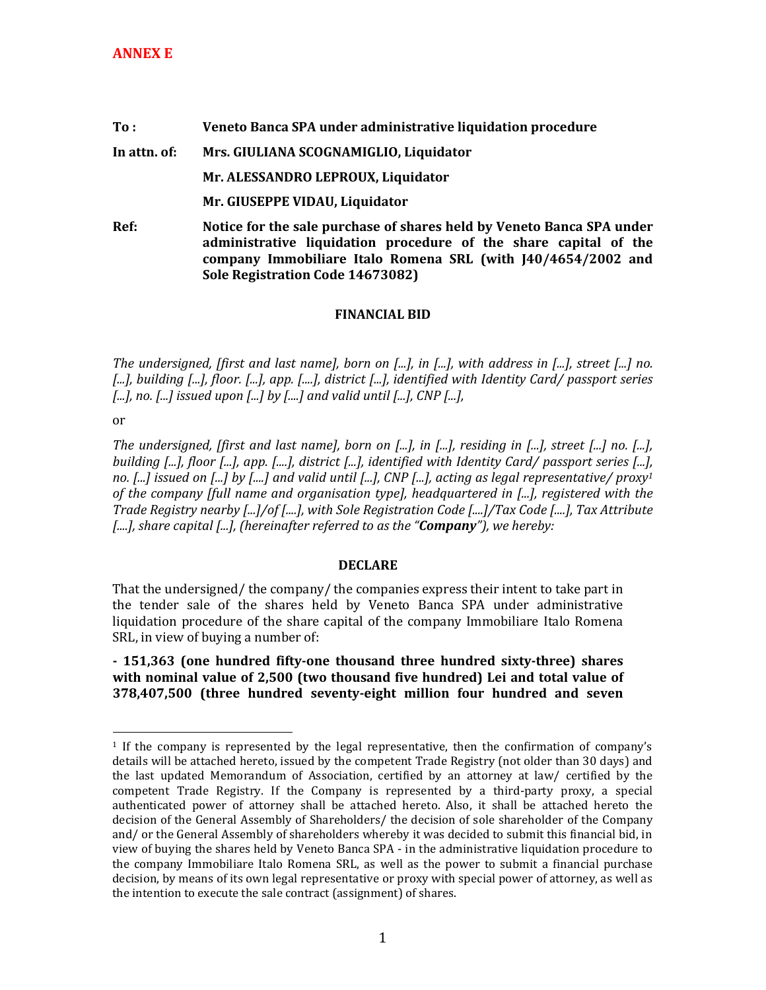## **To : Veneto Banca SPA under administrative liquidation procedure In attn. of: Mrs. GIULIANA SCOGNAMIGLIO, Liquidator Mr. ALESSANDRO LEPROUX, Liquidator Mr. GIUSEPPE VIDAU, Liquidator Ref: Notice for the sale purchase of shares held by Veneto Banca SPA under administrative liquidation procedure of the share capital of the company Immobiliare Italo Romena SRL (with J40/4654/2002 and Sole Registration Code 14673082)**

## **FINANCIAL BID**

*The undersigned, [first and last name], born on [...], in [...], with address in [...], street [...] no. [...], building [...], floor. [...], app. [....], district [...], identified with Identity Card/ passport series [...], no. [...] issued upon [...] by [....] and valid until [...], CNP [...],* 

or

 $\overline{a}$ 

*The undersigned, [first and last name], born on [...], in [...], residing in [...], street [...] no. [...], building [...], floor [...], app. [....], district [...], identified with Identity Card/ passport series [...], no. [...] issued on [...] by [....] and valid until [...], CNP [...], acting as legal representative/ proxy<sup>1</sup> of the company [full name and organisation type], headquartered in [...], registered with the Trade Registry nearby [...]/of [....], with Sole Registration Code [....]/Tax Code [....], Tax Attribute [....], share capital [...], (hereinafter referred to as the "Company"), we hereby:* 

## **DECLARE**

That the undersigned/ the company/ the companies express their intent to take part in the tender sale of the shares held by Veneto Banca SPA under administrative liquidation procedure of the share capital of the company Immobiliare Italo Romena SRL, in view of buying a number of:

**- 151,363 (one hundred fifty-one thousand three hundred sixty-three) shares with nominal value of 2,500 (two thousand five hundred) Lei and total value of 378,407,500 (three hundred seventy-eight million four hundred and seven** 

<sup>1</sup> If the company is represented by the legal representative, then the confirmation of company's details will be attached hereto, issued by the competent Trade Registry (not older than 30 days) and the last updated Memorandum of Association, certified by an attorney at law/ certified by the competent Trade Registry. If the Company is represented by a third-party proxy, a special authenticated power of attorney shall be attached hereto. Also, it shall be attached hereto the decision of the General Assembly of Shareholders/ the decision of sole shareholder of the Company and/ or the General Assembly of shareholders whereby it was decided to submit this financial bid, in view of buying the shares held by Veneto Banca SPA - in the administrative liquidation procedure to the company Immobiliare Italo Romena SRL, as well as the power to submit a financial purchase decision, by means of its own legal representative or proxy with special power of attorney, as well as the intention to execute the sale contract (assignment) of shares.